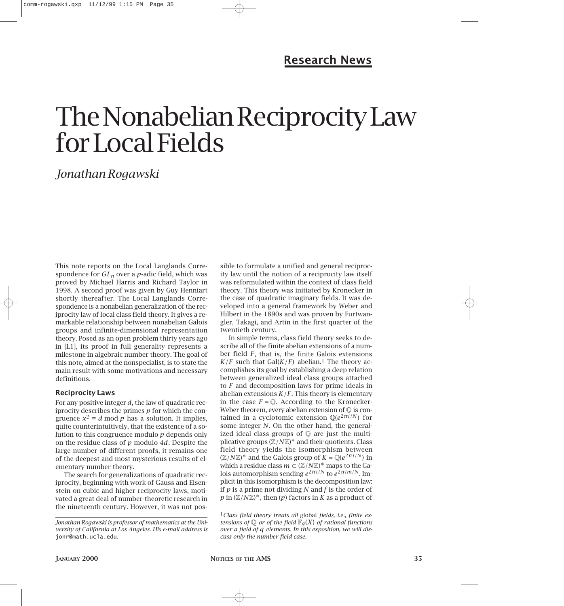# The Nonabelian Reciprocity Law for Local Fields

## *Jonathan Rogawski*

This note reports on the Local Langlands Correspondence for *GLn* over a *p*-adic field, which was proved by Michael Harris and Richard Taylor in 1998. A second proof was given by Guy Henniart shortly thereafter. The Local Langlands Correspondence is a nonabelian generalization of the reciprocity law of local class field theory. It gives a remarkable relationship between nonabelian Galois groups and infinite-dimensional representation theory. Posed as an open problem thirty years ago in [L1], its proof in full generality represents a milestone in algebraic number theory. The goal of this note, aimed at the nonspecialist, is to state the main result with some motivations and necessary definitions.

### **Reciprocity Laws**

For any positive integer *d*, the law of quadratic reciprocity describes the primes *p* for which the congruence  $x^2 \equiv d \mod p$  has a solution. It implies, quite counterintuitively, that the existence of a solution to this congruence modulo *p* depends only on the residue class of *p* modulo 4*d*. Despite the large number of different proofs, it remains one of the deepest and most mysterious results of elementary number theory.

The search for generalizations of quadratic reciprocity, beginning with work of Gauss and Eisenstein on cubic and higher reciprocity laws, motivated a great deal of number-theoretic research in the nineteenth century. However, it was not possible to formulate a unified and general reciprocity law until the notion of a reciprocity law itself was reformulated within the context of class field theory. This theory was initiated by Kronecker in the case of quadratic imaginary fields. It was developed into a general framework by Weber and Hilbert in the 1890s and was proven by Furtwangler, Takagi, and Artin in the first quarter of the twentieth century.

In simple terms, class field theory seeks to describe all of the finite abelian extensions of a number field *F*, that is, the finite Galois extensions  $K/F$  such that Gal( $K/F$ ) abelian.<sup>1</sup> The theory accomplishes its goal by establishing a deep relation between generalized ideal class groups attached to *F* and decomposition laws for prime ideals in abelian extensions *K/F*. This theory is elementary in the case  $F = \mathbb{Q}$ . According to the Kronecker-Weber theorem, every abelian extension of  $\mathbb O$  is contained in a cyclotomic extension  $Q(e^{2\pi i/N})$  for some integer *N*. On the other hand, the generalized ideal class groups of  $\mathbb Q$  are just the multiplicative groups (ℤ/*N*ℤ)\* and their quotients. Class field theory yields the isomorphism between  $(\mathbb{Z}/N\mathbb{Z})^*$  and the Galois group of  $K = \mathbb{Q}(e^{2\pi i/N})$  in which a residue class  $m \in (\mathbb{Z}/N\mathbb{Z})^*$  maps to the Galois automorphism sending  $e^{2\pi i/N}$  to  $e^{2\pi i m/N}$ . Implicit in this isomorphism is the decomposition law: if *p* is a prime not dividing *N* and *f* is the order of  $p$  in  $(\mathbb{Z}/N\mathbb{Z})^*$ , then  $(p)$  factors in  $K$  as a product of

*Jonathan Rogawski is professor of mathematics at the University of California at Los Angeles. His e-mail address is* jonr@math.ucla.edu*.*

<sup>1</sup>*Class field theory treats all* global *fields, i.e., finite extensions of*  $\mathbb Q$  *or of the field*  $\mathbb F_q(X)$  *of rational functions over a field of q elements. In this exposition, we will discuss only the number field case.*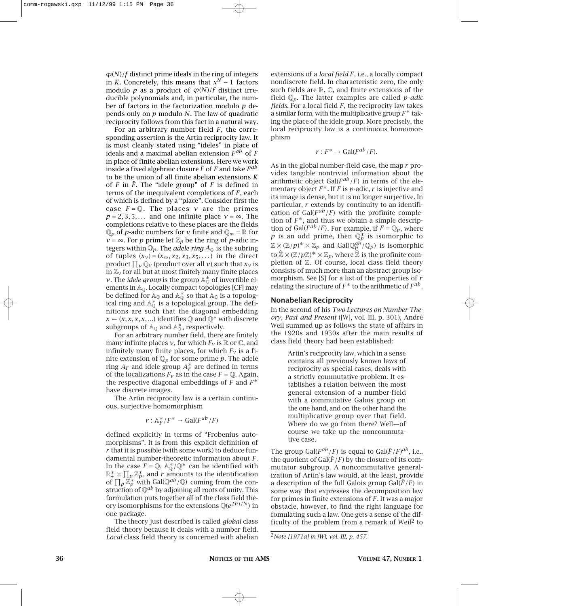$\varphi$ (*N*)/*f* distinct prime ideals in the ring of integers in *K*. Concretely, this means that  $x^N - 1$  factors modulo *p* as a product of  $\varphi(N)/f$  distinct irreducible polynomials and, in particular, the number of factors in the factorization modulo *p* depends only on *p* modulo *N*. The law of quadratic reciprocity follows from this fact in a natural way.

For an arbitrary number field *F*, the corresponding assertion is the Artin reciprocity law. It is most cleanly stated using "ideles" in place of ideals and a maximal abelian extension *Fab* of *F* in place of finite abelian extensions. Here we work inside a fixed algebraic closure  $\bar{F}$  of  $F$  and take  $F^{ab}$ to be the union of all finite abelian extensions *K* of  $F$  in  $\bar{F}$ . The "idele group" of  $F$  is defined in terms of the inequivalent completions of *F*, each of which is defined by a "place". Consider first the case  $F = \mathbb{Q}$ . The places *v* are the primes  $p = 2, 3, 5, \ldots$  and one infinite place  $v = \infty$ . The completions relative to these places are the fields  $\mathbb{Q}_p$  of *p*-adic numbers for *v* finite and  $\mathbb{Q}_\infty = \mathbb{R}$  for *v* = ∞. For *p* prime let  $\mathbb{Z}_p$  be the ring of *p*-adic integers within  $\mathbb{Q}_p$ . The *adele ring*  $A_0$  is the subring of tuples  $(x_v) = (x_\infty, x_2, x_3, x_5, \dots)$  in the direct product  $\prod_{\mathcal{V}}\mathbb{Q}_{\mathcal{V}}$  (product over all  $\mathcal{V}$ ) such that  $\chi_{\mathcal{V}}$  is in  $\mathbb{Z}_v$  for all but at most finitely many finite places *v*. The *idele group* is the group  $\mathbb{A}_{\mathbb{Q}}^*$  of invertible elements in  $\mathbb{A}_{\mathbb{Q}}$ . Locally compact topologies [CF] may be defined for  $\mathbb{A}_{\mathbb{Q}}$  and  $\mathbb{A}_{\mathbb{Q}}^*$  so that  $\mathbb{A}_{\mathbb{Q}}$  is a topological ring and  $\mathbb{A}_{\mathbb{Q}}^*$  is a topological group. The definitions are such that the diagonal embedding  $x \mapsto (x, x, x, x, ...)$  identifies  $\mathbb Q$  and  $\mathbb Q^*$  with discrete subgroups of  $\mathbb{A}_{\mathbb{Q}}$  and  $\mathbb{A}_{\mathbb{Q}}^*$ , respectively.

For an arbitrary number field, there are finitely many infinite places  $v$ , for which  $F_v$  is  $\mathbb R$  or  $\mathbb C$ , and infinitely many finite places, for which  $F_v$  is a finite extension of  $\mathbb{Q}_p$  for some prime  $p$ . The adele ring  $A_F$  and idele group  $A_F^*$  are defined in terms of the localizations  $F_v$  as in the case  $F = \mathbb{Q}$ . Again, the respective diagonal embeddings of *F* and *F*<sup>∗</sup> have discrete images.

The Artin reciprocity law is a certain continuous, surjective homomorphism

$$
r: \mathbb{A}_F^* / F^* \to \text{Gal}(F^{ab}/F)
$$

defined explicitly in terms of "Frobenius automorphisms". It is from this explicit definition of *r* that it is possible (with some work) to deduce fundamental number-theoretic information about *F*. In the case  $F = \mathbb{Q}$ ,  $\mathbb{A}_{\mathbb{Q}}^* / \mathbb{Q}^*$  can be identified with  $\mathbb{R}^*_+ \times \prod_p \mathbb{Z}_p^*$ , and *r* amounts to the identification of  $\prod_p \mathbb{Z}_p^*$  with Gal( $\mathbb{Q}^{ab}/\mathbb{Q}$ ) coming from the construction of  $\mathbb{Q}^{ab}$  by adjoining all roots of unity. This formulation puts together all of the class field theory isomorphisms for the extensions  $\mathbb{Q}(e^{2\pi i/N})$  in one package.

The theory just described is called *global* class field theory because it deals with a number field. *Local* class field theory is concerned with abelian

extensions of a *local field F*, i.e., a locally compact nondiscrete field. In characteristic zero, the only such fields are  $\mathbb{R}$ ,  $\mathbb{C}$ , and finite extensions of the field Q*p*. The latter examples are called *p*-*adic fields*. For a local field *F*, the reciprocity law takes a similar form, with the multiplicative group *F*<sup>∗</sup> taking the place of the idele group. More precisely, the local reciprocity law is a continuous homomorphism

$$
r: F^* \to \text{Gal}(F^{ab}/F).
$$

As in the global number-field case, the map *r* provides tangible nontrivial information about the arithmetic object  $Gal(F^{ab}/F)$  in terms of the elementary object  $F^*$ . If  $F$  is  $p$ -adic,  $r$  is injective and its image is dense, but it is no longer surjective. In particular, *r* extends by continuity to an identification of  $Gal(F^{ab}/F)$  with the profinite completion of  $F^*$ , and thus we obtain a simple description of Gal( $F^{ab}/F$ ). For example, if  $F = \mathbb{Q}_p$ , where  $p$  is an odd prime, then  $\mathbb{Q}_p^*$  is isomorphic to  $\mathbb{Z} \times (\mathbb{Z}/p)^* \times \mathbb{Z}_p$  and  $\text{Gal}(\mathbb{Q}_p^{ab}/\mathbb{Q}_p)$  is isomorphic to  $\hat{\mathbb{Z}} \times (\mathbb{Z}/p\mathbb{Z})^* \times \mathbb{Z}_p$ , where  $\hat{\mathbb{Z}}$  is the profinite completion of  $\mathbb Z$ . Of course, local class field theory consists of much more than an abstract group isomorphism. See [S] for a list of the properties of *r* relating the structure of *F*<sup>∗</sup> to the arithmetic of *Fab*.

#### **Nonabelian Reciprocity**

In the second of his *Two Lectures on Number Theory, Past and Present* ([W], vol. III, p. 301), André Weil summed up as follows the state of affairs in the 1920s and 1930s after the main results of class field theory had been established:

> Artin's reciprocity law, which in a sense contains all previously known laws of reciprocity as special cases, deals with a strictly commutative problem. It establishes a relation between the most general extension of a number-field with a commutative Galois group on the one hand, and on the other hand the multiplicative group over that field. Where do we go from there? Well—of course we take up the noncommutative case.

The group Gal( $F^{ab}/F$ ) is equal to Gal( $\bar{F}/F$ ) $^{ab}$ , i.e., the quotient of  $Gal(\bar{F}/F)$  by the closure of its commutator subgroup. A noncommutative generalization of Artin's law would, at the least, provide a description of the full Galois group  $Gal(\bar{F}/F)$  in some way that expresses the decomposition law for primes in finite extensions of *F*. It was a major obstacle, however, to find the right language for fomulating such a law. One gets a sense of the difficulty of the problem from a remark of Weil2 to

<sup>2</sup>*Note [1971a] in [W], vol. III, p. 457.*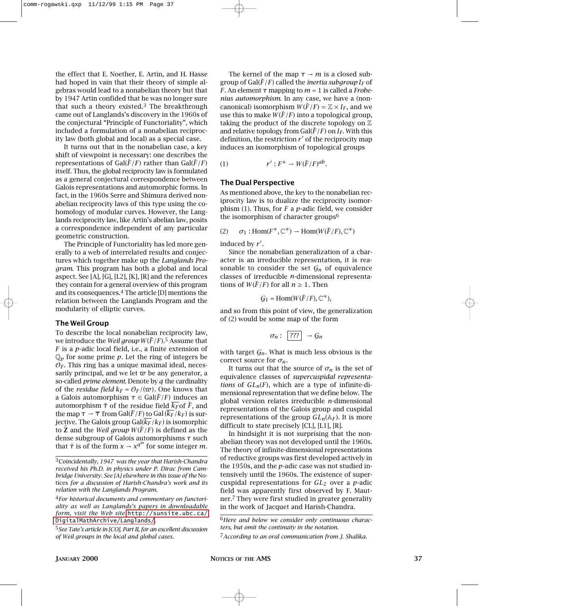the effect that E. Noether, E. Artin, and H. Hasse had hoped in vain that their theory of simple algebras would lead to a nonabelian theory but that by 1947 Artin confided that he was no longer sure that such a theory existed.3 The breakthrough came out of Langlands's discovery in the 1960s of the conjectural "Principle of Functoriality", which included a formulation of a nonabelian reciprocity law (both global and local) as a special case.

It turns out that in the nonabelian case, a key shift of viewpoint is necessary: one describes the representations of Gal( $\bar{F}/F$ ) rather than Gal( $\bar{F}/F$ ) itself. Thus, the global reciprocity law is formulated as a general conjectural correspondence between Galois representations and automorphic forms. In fact, in the 1960s Serre and Shimura derived nonabelian reciprocity laws of this type using the cohomology of modular curves. However, the Langlands reciprocity law, like Artin's abelian law, posits a correspondence independent of any particular geometric construction.

The Principle of Functoriality has led more generally to a web of interrelated results and conjectures which together make up the *Langlands Program*. This program has both a global and local aspect. See [A], [G], [L2], [K], [R] and the references they contain for a general overview of this program and its consequences.4 The article [D] mentions the relation between the Langlands Program and the modularity of elliptic curves.

#### **The Weil Group**

To describe the local nonabelian reciprocity law, we introduce the *Weil group*  $W(\bar{F}/F)$ .<sup>5</sup> Assume that *F* is a *p*-adic local field, i.e., a finite extension of  $\mathbb{Q}_p$  for some prime *p*. Let the ring of integers be  $O_F$ . This ring has a unique maximal ideal, necessarily principal, and we let  $\bar{\omega}$  be any generator, a so-called *prime element*. Denote by *q* the cardinality of the *residue field*  $k_F = \mathcal{O}_F/(\varpi)$ . One knows that a Galois automorphism  $\tau \in \text{Gal}(\bar{F}/F)$  induces an automorphism  $\bar{\tau}$  of the residue field  $\overline{k_F}$  of  $\bar{F}$ , and the map  $\tau \to \overline{\tau}$  from Gal( $\overline{F}/F$ ) to Gal( $\overline{k_F}/k_F$ ) is surjective. The Galois group  $Gal(\overline{k_F}/k_F)$  is isomorphic to  $\hat{\mathbf{Z}}$  and the *Weil group*  $W(\bar{F}/F)$  is defined as the dense subgroup of Galois automorphisms *τ* such that  $\bar{\tau}$  is of the form  $x \to x^{q^m}$  for some integer *m*.

3*Coincidentally, 1947 was the year that Harish-Chandra received his Ph.D. in physics under P. Dirac from Cambridge University. See [A] elsewhere in this issue of the* Notices *for a discussion of Harish-Chandra's work and its relation with the Langlands Program.*

4*For historical documents and commentary on functoriality as well as Langlands's papers in downloadable form, visit the Web site* [http://sunsite.ubc.ca/](http://www.sunsite.ubc.ca/DigitalMathArchive/Langlands/) [DigitalMathArchive/Langlands/](http://www.sunsite.ubc.ca/DigitalMathArchive/Langlands/)*.*

5*See Tate's article in [CO], Part II, for an excellent discussion of Weil groups in the local and global cases.*

The kernel of the map  $\tau \rightarrow m$  is a closed subgroup of  $Gal(F/F)$  called the *inertia subgroup*  $I_F$  of *F*. An element  $\tau$  mapping to  $m = 1$  is called a *Frobenius automorphism*. In any case, we have a (noncanonical) isomorphism  $W(\overline{F}/F) \simeq \mathbb{Z} \times I_F$ , and we use this to make  $W(\bar{F}/F)$  into a topological group, taking the product of the discrete topology on  $\mathbb Z$ and relative topology from  $Gal(\bar{F}/F)$  on  $I_F$ . With this definition, the restriction  $r'$  of the reciprocity map induces an isomorphism of topological groups

$$
(1) \t r': F^* \to W(\bar{F}/F)^{ab}.
$$

#### **The Dual Perspective**

As mentioned above, the key to the nonabelian reciprocity law is to dualize the reciprocity isomorphism (1). Thus, for *F* a *p*-adic field, we consider the isomorphism of character groups<sup>6</sup>

$$
(2) \qquad \sigma_1: \operatorname{Hom}(F^\ast,\mathbb{C}^\ast) \to \operatorname{Hom}(W(\bar{F}/F),\mathbb{C}^\ast)
$$

induced by  $r'$ .

Since the nonabelian generalization of a character is an irreducible representation, it is reasonable to consider the set  $G_n$  of equivalence classes of irreducible *n*-dimensional representations of  $W(\bar{F}/F)$  for all  $n \geq 1$ . Then

$$
\mathcal{G}_1 = \text{Hom}(W(\bar{F}/F), \mathbb{C}^*),
$$

and so from this point of view, the generalization of (2) would be some map of the form

$$
\sigma_n: \boxed{??'} \rightarrow \mathcal{G}_n
$$

with target  $G_n$ . What is much less obvious is the correct source for *σn*.

It turns out that the source of  $\sigma_n$  is the set of equivalence classes of *supercuspidal representations* of  $GL_n(F)$ , which are a type of infinite-dimensional representation that we define below. The global version relates irreducible *n*-dimensional representations of the Galois group and cuspidal representations of the group  $GL_n(\mathbb{A}_F)$ . It is more difficult to state precisely [CL], [L1], [R].

In hindsight it is not surprising that the nonabelian theory was not developed until the 1960s. The theory of infinite-dimensional representations of reductive groups was first developed actively in the 1950s, and the *p*-adic case was not studied intensively until the 1960s. The existence of supercuspidal representations for *GL*2 over a *p*-adic field was apparently first observed by F. Mautner.7 They were first studied in greater generality in the work of Jacquet and Harish-Chandra.

<sup>6</sup>*Here and below we consider only continuous characters, but omit the continuity in the notation.*

<sup>7</sup>*According to an oral communication from J. Shalika.*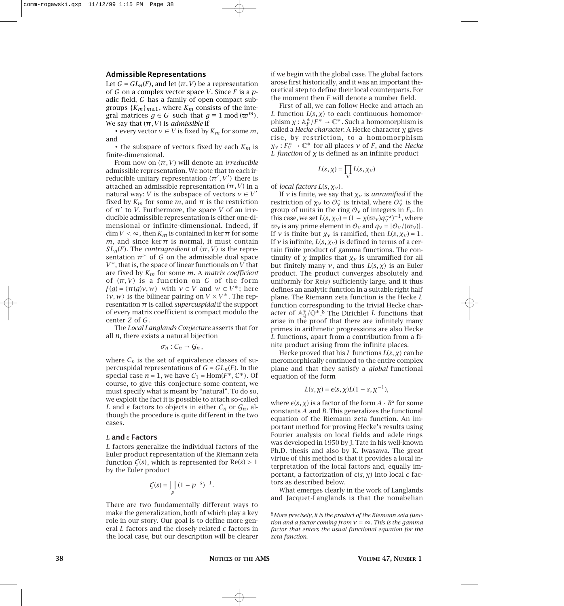#### **Admissible Representations**

Let  $G = GL_n(F)$ , and let  $(\pi, V)$  be a representation of *G* on a complex vector space *V*. Since *F* is a *p*adic field, *G* has a family of open compact subgroups  $\{K_m\}_{m\geq 1}$ , where  $K_m$  consists of the integral matrices  $g \in G$  such that  $g \equiv 1 \mod (\varpi^m)$ . We say that  $(\pi, V)$  is *admissible* if

• every vector  $v \in V$  is fixed by  $K_m$  for some  $m$ , and

• the subspace of vectors fixed by each *Km* is finite-dimensional.

From now on (*π,V*) will denote an *irreducible* admissible representation. We note that to each irreducible unitary representation  $(\pi', V')$  there is attached an admissible representation  $(\pi, V)$  in a natural way: *V* is the subspace of vectors  $v \in V'$ fixed by  $K_m$  for some  $m$ , and  $\pi$  is the restriction of  $\pi'$  to *V*. Furthermore, the space *V* of an irreducible admissible representation is either one-dimensional or infinite-dimensional. Indeed, if  $\dim V < \infty$ , then  $K_m$  is contained in ker  $\pi$  for some  $m$ , and since ker $\pi$  is normal, it must contain  $SL_n(F)$ . The *contragredient* of  $(\pi, V)$  is the representation  $\pi^*$  of *G* on the admissible dual space *V* <sup>∗</sup>, that is, the space of linear functionals on *V* that are fixed by *Km* for some *m*. A *matrix coefficient* of  $(\pi, V)$  is a function on *G* of the form  $f(g) = \langle \pi(g)v, w \rangle$  with  $v \in V$  and  $w \in V^*$ ; here  $\langle v, w \rangle$  is the bilinear pairing on  $V \times V^*$ . The representation *π* is called *supercuspidal* if the support of every matrix coefficient is compact modulo the center *Z* of *G*.

The *Local Langlands Conjecture* asserts that for all *n*, there exists a natural bijection

$$
\sigma_n:C_n\to G_n,
$$

where  $C_n$  is the set of equivalence classes of supercuspidal representations of  $G = GL_n(F)$ . In the special case  $n = 1$ , we have  $C_1 = \text{Hom}(F^*, \mathbb{C}^*)$ . Of course, to give this conjecture some content, we must specify what is meant by "natural". To do so, we exploit the fact it is possible to attach so-called *L* and  $\epsilon$  factors to objects in either  $C_n$  or  $\mathcal{G}_n$ , although the procedure is quite different in the two cases.

#### *L* and  $\epsilon$  **Factors**

*L* factors generalize the individual factors of the Euler product representation of the Riemann zeta function  $\zeta(s)$ , which is represented for  $Re(s) > 1$ by the Euler product

$$
\zeta(s) = \prod_p (1 - p^{-s})^{-1}.
$$

There are two fundamentally different ways to make the generalization, both of which play a key role in our story. Our goal is to define more general  $L$  factors and the closely related  $\epsilon$  factors in the local case, but our description will be clearer if we begin with the global case. The global factors arose first historically, and it was an important theoretical step to define their local counterparts. For the moment then *F* will denote a number field.

First of all, we can follow Hecke and attach an *L* function  $L(s, \chi)$  to each continuous homomorphism  $\chi : \mathbb{A}_F^* / F^* \to \mathbb{C}^*$ . Such a homomorphism is called a *Hecke character*. A Hecke character *χ* gives rise, by restriction, to a homomorphism  $\chi_v: F_v^* \to \mathbb{C}^*$  for all places *v* of *F*, and the *Hecke L function* of *χ* is defined as an infinite product

$$
L(s,\chi)=\prod_{\nu}L(s,\chi_{\nu})
$$

of *local factors L*(*s,χv* ).

If *v* is finite, we say that  $\chi_{v}$  is *unramified* if the restriction of  $\chi_{\nu}$  to  $\mathcal{O}_{\nu}^{*}$  is trivial, where  $\mathcal{O}_{\nu}^{*}$  is the group of units in the ring  $\mathcal{O}_V$  of integers in  $F_V$ . In this case, we set  $L(s, \chi_v) = (1 - \chi(\varpi_v)q_v^{-s})^{-1}$ , where  $\varpi_{v}$  is any prime element in  $\mathcal{O}_{v}$  and  $q_{v} = |\mathcal{O}_{v}/(\varpi_{v})|$ . If *v* is finite but  $\chi_{\nu}$  is ramified, then  $L(s, \chi_{\nu}) = 1$ . If *v* is infinite,  $L(s, \chi_v)$  is defined in terms of a certain finite product of gamma functions. The continuity of  $\chi$  implies that  $\chi_{\nu}$  is unramified for all but finitely many *v*, and thus *L*(*s,χ*) is an Euler product. The product converges absolutely and uniformly for Re(*s*) sufficiently large, and it thus defines an analytic function in a suitable right half plane. The Riemann zeta function is the Hecke *L* function corresponding to the trivial Hecke character of A<sup>∗</sup> <sup>Q</sup> */*Q∗.8 The Dirichlet *<sup>L</sup>* functions that arise in the proof that there are infinitely many primes in arithmetic progressions are also Hecke *L* functions, apart from a contribution from a finite product arising from the infinite places.

Hecke proved that his *L* functions  $L(s, \chi)$  can be meromorphically continued to the entire complex plane and that they satisfy a *global* functional equation of the form

$$
L(s, \chi) = \epsilon(s, \chi)L(1-s, \chi^{-1}),
$$

where  $\epsilon(s, \chi)$  is a factor of the form  $A \cdot B^s$  for some constants *A* and *B*. This generalizes the functional equation of the Riemann zeta function. An important method for proving Hecke's results using Fourier analysis on local fields and adele rings was developed in 1950 by J. Tate in his well-known Ph.D. thesis and also by K. Iwasawa. The great virtue of this method is that it provides a local interpretation of the local factors and, equally important, a factorization of  $\epsilon(s, \chi)$  into local  $\epsilon$  factors as described below.

What emerges clearly in the work of Langlands and Jacquet-Langlands is that the nonabelian

<sup>8</sup>*More precisely, it is the product of the Riemann zeta function and a factor coming from*  $v = \infty$ *. This is the gamma factor that enters the usual functional equation for the zeta function.*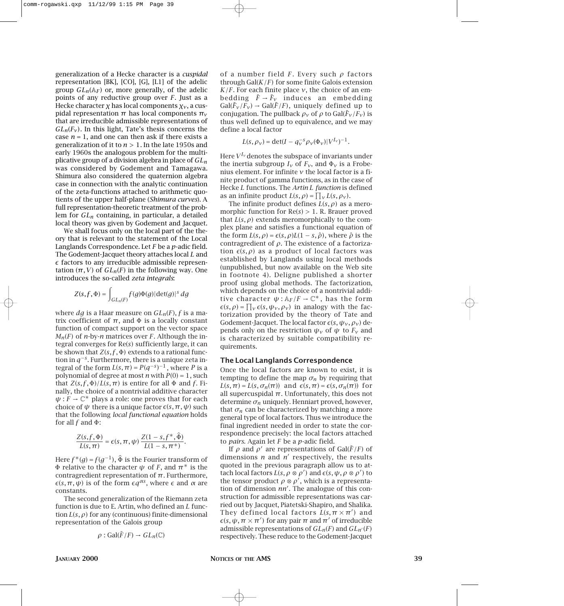generalization of a Hecke character is a *cuspidal* representation [BK], [CO], [G], [L1] of the adelic group  $GL_n(\mathbb{A}_F)$  or, more generally, of the adelic points of any reductive group over *F*. Just as a Hecke character  $\chi$  has local components  $\chi_{\nu}$ , a cuspidal representation  $\pi$  has local components  $\pi$ <sub>*v*</sub> that are irreducible admissible representations of  $GL_n(F_v)$ . In this light, Tate's thesis concerns the case  $n = 1$ , and one can then ask if there exists a generalization of it to *n >* 1. In the late 1950s and early 1960s the analogous problem for the multiplicative group of a division algebra in place of *GLn* was considered by Godement and Tamagawa. Shimura also considered the quaternion algebra case in connection with the analytic continuation of the zeta-functions attached to arithmetic quotients of the upper half-plane (*Shimura curves*). A full representation-theoretic treatment of the problem for *GLn* containing, in particular, a detailed local theory was given by Godement and Jacquet.

We shall focus only on the local part of the theory that is relevant to the statement of the Local Langlands Correspondence. Let *F* be a *p*-adic field. The Godement-Jacquet theory attaches local *L* and  $\epsilon$  factors to any irreducible admissible representation  $(\pi, V)$  of  $GL_n(F)$  in the following way. One introduces the so-called *zeta integrals*:

$$
Z(s,f,\Phi) = \int_{GL_n(F)} f(g)\Phi(g)|\det(g)|^s dg
$$

where  $dg$  is a Haar measure on  $GL_n(F)$ ,  $f$  is a matrix coefficient of  $π$ , and  $Φ$  is a locally constant function of compact support on the vector space *Mn*(*F*) of *n*-by-*n* matrices over *F*. Although the integral converges for Re(*s*) sufficiently large, it can be shown that  $Z(s, f, \Phi)$  extends to a rational function in *q*−*s*. Furthermore, there is a unique zeta integral of the form  $L(s, \pi) = P(q^{-s})^{-1}$ , where *P* is a polynomial of degree at most *n* with  $P(0) = 1$ , such that  $Z(s, f, \Phi)/L(s, \pi)$  is entire for all  $\Phi$  and f. Finally, the choice of a nontrivial additive character  $\psi$ : *F*  $\rightarrow$   $\mathbb{C}^*$  plays a role: one proves that for each choice of  $\psi$  there is a unique factor  $\epsilon(s, \pi, \psi)$  such that the following *local functional equation* holds for all *f* and Φ:

$$
\frac{Z(s,f,\Phi)}{L(s,\pi)} = \epsilon(s,\pi,\psi) \, \frac{Z(1-s,f^*,\hat{\Phi})}{L(1-s,\pi^*)}.
$$

Here  $f^*(g) = f(g^{-1})$ ,  $\hat{\Phi}$  is the Fourier transform of Φ relative to the character *ψ* of *F*, and *π*<sup>∗</sup> is the contragredient representation of  $\pi$ . Furthermore,  $\epsilon(s, \pi, \psi)$  is of the form  $\epsilon q^{\alpha s}$ , where  $\epsilon$  and  $\alpha$  are constants.

The second generalization of the Riemann zeta function is due to E. Artin, who defined an *L* function  $L(s, \rho)$  for any (continuous) finite-dimensional representation of the Galois group

$$
\rho: \operatorname{Gal}(\bar{F}/F) \to GL_n(\mathbb{C})
$$

of a number field *F* . Every such *ρ* factors through  $Gal(K/F)$  for some finite Galois extension  $K/F$ . For each finite place  $v$ , the choice of an embedding  $\bar{F} \rightarrow \bar{F}_\nu$  induces an embedding  $Gal(\bar{F}_V/F_V) \rightarrow Gal(\bar{F}/F)$ , uniquely defined up to conjugation. The pullback  $\rho_v$  of  $\rho$  to Gal( $\bar{F}_v/F_v$ ) is thus well defined up to equivalence, and we may define a local factor

$$
L(s, \rho_{\nu}) = \det(I - q_{\nu}^{-s} \rho_{\nu}(\Phi_{\nu}) | V^{I_{\nu}})^{-1}.
$$

Here *VIv* denotes the subspace of invariants under the inertia subgroup  $I_v$  of  $F_v$ , and  $\Phi_v$  is a Frobenius element. For infinite *v* the local factor is a finite product of gamma functions, as in the case of Hecke *L* functions. The *Artin L function* is defined as an infinite product  $L(s, \rho) = \prod_{v} L(s, \rho_v)$ .

The infinite product defines  $L(s, \rho)$  as a meromorphic function for  $Re(s) > 1$ . R. Brauer proved that  $L(s, \rho)$  extends meromorphically to the complex plane and satisfies a functional equation of the form  $L(s, \rho) = \epsilon(s, \rho)L(1 - s, \hat{\rho})$ , where  $\hat{\rho}$  is the contragredient of *ρ*. The existence of a factorization  $\epsilon(s,\rho)$  as a product of local factors was established by Langlands using local methods (unpublished, but now available on the Web site in footnote 4). Deligne published a shorter proof using global methods. The factorization, which depends on the choice of a nontrivial additive character  $\psi$ :  $\mathbb{A}_F/F \to \mathbb{C}^*$ , has the form  $\epsilon(s,\rho) = \prod_{v} \epsilon(s,\psi_{v},\rho_{v})$  in analogy with the factorization provided by the theory of Tate and Godement-Jacquet. The local factor  $\epsilon(s, \psi_{\nu}, \rho_{\nu})$  depends only on the restriction  $ψ<sub>ν</sub>$  of  $ψ$  to  $F<sub>ν</sub>$  and is characterized by suitable compatibility requirements.

#### **The Local Langlands Correspondence**

Once the local factors are known to exist, it is tempting to define the map  $\sigma_n$  by requiring that  $L(s, \pi) = L(s, \sigma_n(\pi))$  and  $\epsilon(s, \pi) = \epsilon(s, \sigma_n(\pi))$  for all supercuspidal  $\pi$ . Unfortunately, this does not determine  $\sigma_n$  uniquely. Henniart proved, however, that  $\sigma_n$  can be characterized by matching a more general type of local factors. Thus we introduce the final ingredient needed in order to state the correspondence precisely: the local factors attached to *pairs*. Again let *F* be a *p*-adic field.

If  $\rho$  and  $\rho'$  are representations of Gal( $\bar{F}/F$ ) of dimensions  $n$  and  $n'$  respectively, the results quoted in the previous paragraph allow us to attach local factors  $L(s, \rho \otimes \rho')$  and  $\epsilon(s, \psi, \rho \otimes \rho')$  to the tensor product  $\rho \otimes \rho'$ , which is a representation of dimension nn'. The analogue of this construction for admissible representations was carried out by Jacquet, Piatetski-Shapiro, and Shalika. They defined local factors  $L(s, \pi \times \pi')$  and  $\epsilon(s, \psi, \pi \times \pi')$  for any pair  $\pi$  and  $\pi'$  of irreducible admissible representations of  $GL_n(F)$  and  $GL_{n'}(F)$ respectively. These reduce to the Godement-Jacquet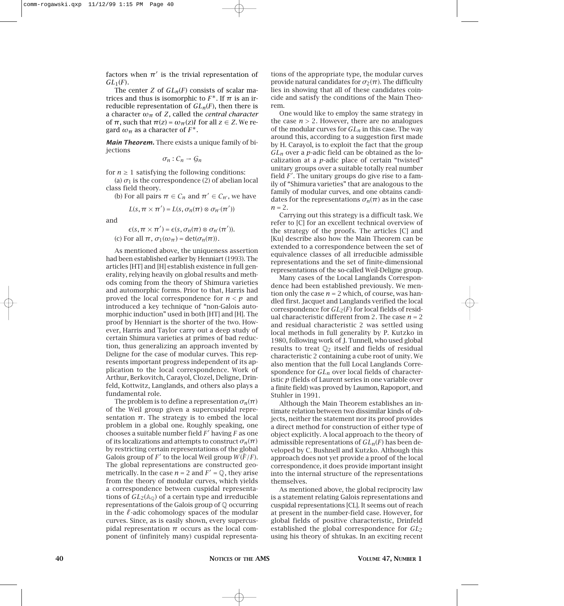factors when  $\pi'$  is the trivial representation of  $GL_1(F)$ .

The center *Z* of  $GL_n(F)$  consists of scalar matrices and thus is isomorphic to  $F^*$ . If  $\pi$  is an irreducible representation of  $GL_n(F)$ , then there is a character *ωπ* of *Z*, called the *central character* of *π*, such that *π*(*z*) = *ωπ* (*z*)*I* for all *z* ∈ *Z*. We regard  $\omega_{\pi}$  as a character of  $F^*$ .

*Main Theorem.* There exists a unique family of bijections

$$
\sigma_n:C_n\to\mathcal{G}_n
$$

for  $n \geq 1$  satisfying the following conditions:

(a)  $\sigma_1$  is the correspondence (2) of abelian local class field theory.

(b) For all pairs  $\pi \in C_n$  and  $\pi' \in C_{n'}$ , we have

$$
L(s, \pi \times \pi') = L(s, \sigma_n(\pi) \otimes \sigma_{n'}(\pi'))
$$

and

$$
\epsilon(s,\pi\times\pi')=\epsilon(s,\sigma_n(\pi)\otimes\sigma_{n'}(\pi')).
$$

(c) For all  $\pi$ ,  $\sigma_1(\omega_\pi) = \det(\sigma_n(\pi))$ .

As mentioned above, the uniqueness assertion had been established earlier by Henniart (1993). The articles [HT] and [H] establish existence in full generality, relying heavily on global results and methods coming from the theory of Shimura varieties and automorphic forms. Prior to that, Harris had proved the local correspondence for  $n < p$  and introduced a key technique of "non-Galois automorphic induction" used in both [HT] and [H]. The proof by Henniart is the shorter of the two. However, Harris and Taylor carry out a deep study of certain Shimura varieties at primes of bad reduction, thus generalizing an approach invented by Deligne for the case of modular curves. This represents important progress independent of its application to the local correspondence. Work of Arthur, Berkovitch, Carayol, Clozel, Deligne, Drinfeld, Kottwitz, Langlands, and others also plays a fundamental role.

The problem is to define a representation  $\sigma_n(\pi)$ of the Weil group given a supercuspidal representation  $π$ . The strategy is to embed the local problem in a global one. Roughly speaking, one chooses a suitable number field  $F'$  having  $F$  as one of its localizations and attempts to construct  $\sigma_n(\pi)$ by restricting certain representations of the global Galois group of  $F'$  to the local Weil group  $W(F/F)$ . The global representations are constructed geometrically. In the case  $n = 2$  and  $F' = \mathbb{Q}$ , they arise from the theory of modular curves, which yields a correspondence between cuspidal representations of  $GL_2(\mathbb{A}_{\mathbb{Q}})$  of a certain type and irreducible representations of the Galois group of Q occurring in the  $\ell$ -adic cohomology spaces of the modular curves. Since, as is easily shown, every supercuspidal representation  $\pi$  occurs as the local component of (infinitely many) cuspidal representa-

tions of the appropriate type, the modular curves provide natural candidates for  $\sigma_2(\pi)$ . The difficulty lies in showing that all of these candidates coincide and satisfy the conditions of the Main Theorem.

One would like to employ the same strategy in the case  $n > 2$ . However, there are no analogues of the modular curves for *GLn* in this case. The way around this, according to a suggestion first made by H. Carayol, is to exploit the fact that the group *GLn* over a *p*-adic field can be obtained as the localization at a *p*-adic place of certain "twisted" unitary groups over a suitable totally real number field  $F'$ . The unitary groups do give rise to a family of "Shimura varieties" that are analogous to the family of modular curves, and one obtains candidates for the representations  $\sigma_n(\pi)$  as in the case  $n = 2$ .

Carrying out this strategy is a difficult task. We refer to [C] for an excellent technical overview of the strategy of the proofs. The articles [C] and [Ku] describe also how the Main Theorem can be extended to a correspondence between the set of equivalence classes of all irreducible admissible representations and the set of finite-dimensional representations of the so-called Weil-Deligne group.

Many cases of the Local Langlands Correspondence had been established previously. We mention only the case  $n = 2$  which, of course, was handled first. Jacquet and Langlands verified the local correspondence for  $GL_2(F)$  for local fields of residual characteristic different from 2. The case *n* = 2 and residual characteristic 2 was settled using local methods in full generality by P. Kutzko in 1980, following work of J. Tunnell, who used global results to treat  $\mathbb{Q}_2$  itself and fields of residual characteristic 2 containing a cube root of unity. We also mention that the full Local Langlands Correspondence for *GLn* over local fields of characteristic *p* (fields of Laurent series in one variable over a finite field) was proved by Laumon, Rapoport, and Stuhler in 1991.

Although the Main Theorem establishes an intimate relation between two dissimilar kinds of objects, neither the statement nor its proof provides a direct method for construction of either type of object explicitly. A local approach to the theory of admissible representations of *GLn*(*F*) has been developed by C. Bushnell and Kutzko. Although this approach does not yet provide a proof of the local correspondence, it does provide important insight into the internal structure of the representations themselves.

As mentioned above, the global reciprocity law is a statement relating Galois representations and cuspidal representations [CL]. It seems out of reach at present in the number-field case. However, for global fields of positive characteristic, Drinfeld established the global correspondence for *GL*2 using his theory of shtukas. In an exciting recent